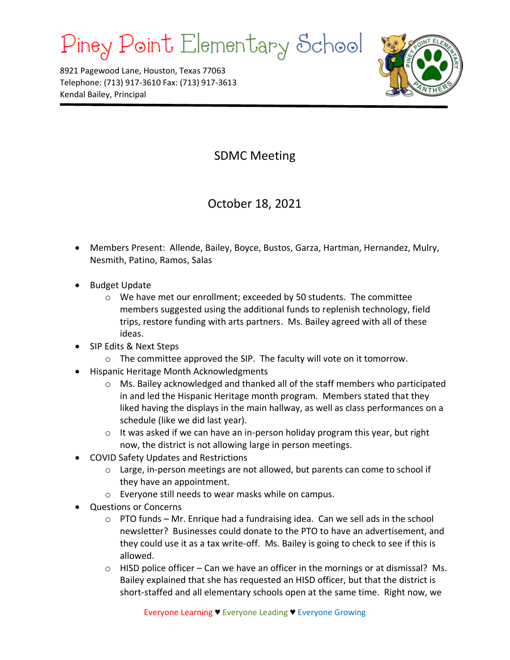## Piney Point Elementary School

8921 Pagewood Lane, Houston, Texas 77063 Telephone: (713) 917-3610 Fax: (713) 917-3613 Kendal Bailey, Principal



## SDMC Meeting

October 18, 2021

- Members Present: Allende, Bailey, Boyce, Bustos, Garza, Hartman, Hernandez, Mulry, Nesmith, Patino, Ramos, Salas
- Budget Update
	- o We have met our enrollment; exceeded by 50 students. The committee members suggested using the additional funds to replenish technology, field trips, restore funding with arts partners. Ms. Bailey agreed with all of these ideas.
- SIP Edits & Next Steps
	- o The committee approved the SIP. The faculty will vote on it tomorrow.
- Hispanic Heritage Month Acknowledgments
	- o Ms. Bailey acknowledged and thanked all of the staff members who participated in and led the Hispanic Heritage month program. Members stated that they liked having the displays in the main hallway, as well as class performances on a schedule (like we did last year).
	- $\circ$  It was asked if we can have an in-person holiday program this year, but right now, the district is not allowing large in person meetings.
- COVID Safety Updates and Restrictions
	- o Large, in-person meetings are not allowed, but parents can come to school if they have an appointment.
	- o Everyone still needs to wear masks while on campus.
- Questions or Concerns
	- $\circ$  PTO funds Mr. Enrique had a fundraising idea. Can we sell ads in the school newsletter? Businesses could donate to the PTO to have an advertisement, and they could use it as a tax write-off. Ms. Bailey is going to check to see if this is allowed.
	- o HISD police officer Can we have an officer in the mornings or at dismissal? Ms. Bailey explained that she has requested an HISD officer, but that the district is short-staffed and all elementary schools open at the same time. Right now, we